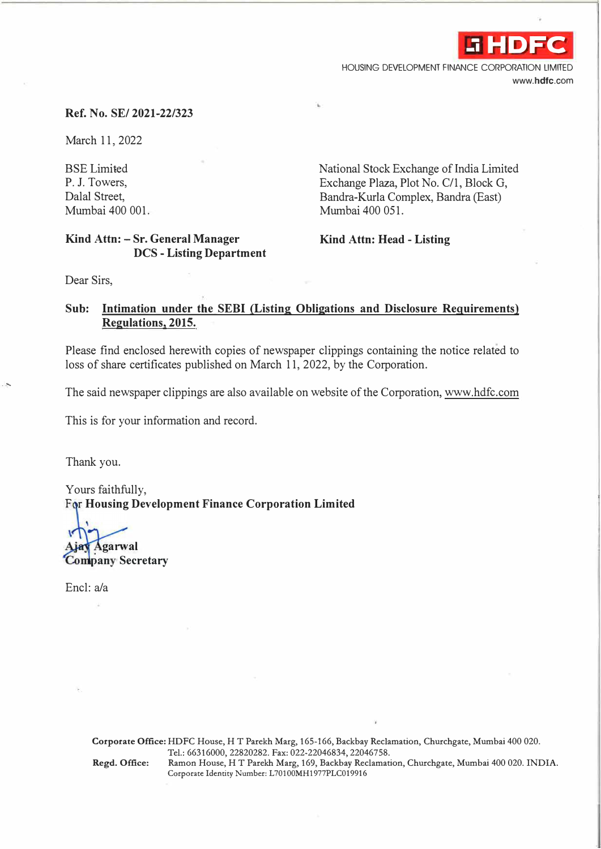**-i HDFC**

HOUSING DEVELOPMENT FINANCE CORPORATION LIMITED **www.hdfc.com** 

### **Ref. No. SE/ 2021-22/323**

March 11, 2022

BSE Limited P. J. Towers, Dalal Street, Mumbai 400 001.

### **Kind Attn: - Sr. General Manager DCS - Listing Department**

National Stock Exchange of India Limited Exchange Plaza, Plot No. C/1, Block G, Bandra-Kurla Complex, Bandra (East) Mumbai 400 051.

**Kind Attn: Head - Listing** 

Dear Sirs,

## **Sub: Intimation under the SEBI (Listing Obligations and Disclosure Requirements) Regulations, 2015.**

Please find enclosed herewith copies of newspaper clippings containing the notice related to loss of share certificates published on March 11, 2022, by the Corporation.

The said newspaper clippings are also available on website of the Corporation, www.hdfc.com

This is for your information and record.

Thank you.

. -.

Yours faithfully, For Housing Development Finance Corporation Limited

**ganval** 

**Company Secretary** 

Encl:a/a

**Corporate Office:** HDFC House, HT Parekh Marg, 165-166, Backbay Reclamation, Churchgate, Mumbai 400 020. Tel.: 66316000, 22820282. Fax: 022-22046834, 22046758. **Regd. Office:** Ramon House, HT Parekh Marg, 169, Backbay Reclamation, Churchgate, Mumbai 400 020. INDIA. Corporate Identity Number: L70100MH1977PLC019916